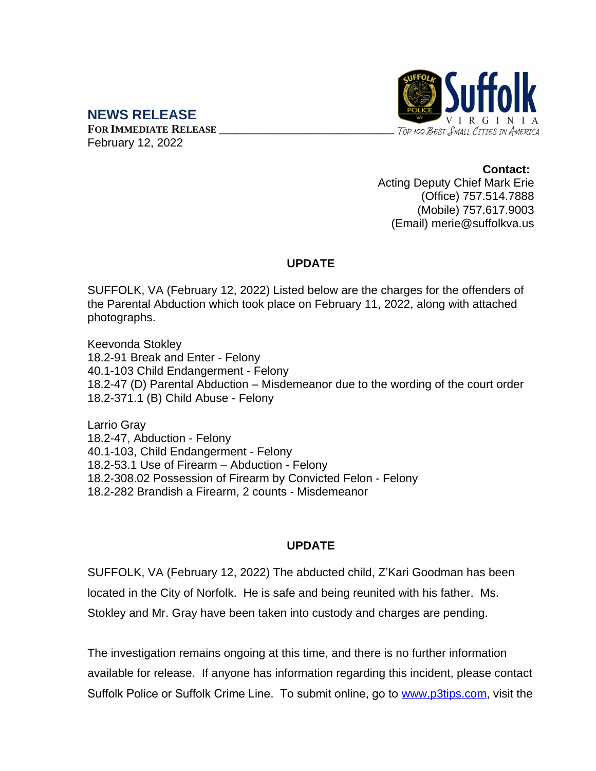## **NEWS RELEASE**

**FOR IMMEDIATE RELEASE \_\_\_\_\_\_\_\_\_\_\_\_\_\_\_\_\_\_\_\_\_\_\_\_\_\_\_\_\_\_** February 12, 2022



**Contact:** Acting Deputy Chief Mark Erie (Office) 757.514.7888 (Mobile) 757.617.9003 (Email) merie@suffolkva.us

## **UPDATE**

SUFFOLK, VA (February 12, 2022) Listed below are the charges for the offenders of the Parental Abduction which took place on February 11, 2022, along with attached photographs.

Keevonda Stokley 18.2-91 Break and Enter - Felony 40.1-103 Child Endangerment - Felony 18.2-47 (D) Parental Abduction – Misdemeanor due to the wording of the court order 18.2-371.1 (B) Child Abuse - Felony

Larrio Gray 18.2-47, Abduction - Felony 40.1-103, Child Endangerment - Felony 18.2-53.1 Use of Firearm – Abduction - Felony 18.2-308.02 Possession of Firearm by Convicted Felon - Felony 18.2-282 Brandish a Firearm, 2 counts - Misdemeanor

## **UPDATE**

SUFFOLK, VA (February 12, 2022) The abducted child, Z'Kari Goodman has been located in the City of Norfolk. He is safe and being reunited with his father. Ms. Stokley and Mr. Gray have been taken into custody and charges are pending.

The investigation remains ongoing at this time, and there is no further information available for release. If anyone has information regarding this incident, please contact Suffolk Police or Suffolk Crime Line. To submit online, go to [www.p3tips.com](http://www.p3tips.com), visit the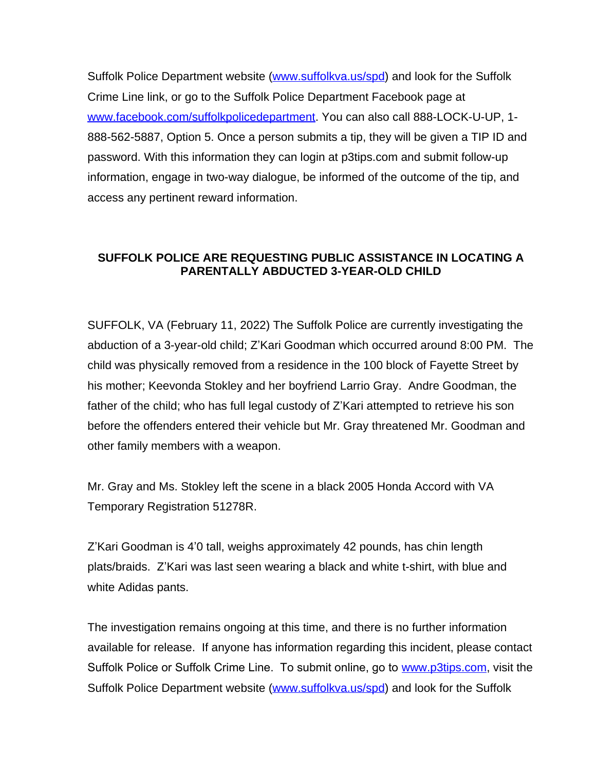Suffolk Police Department website [\(www.suffolkva.us/spd](http://www.suffolkva.us/spd)) and look for the Suffolk Crime Line link, or go to the Suffolk Police Department Facebook page at [www.facebook.com/suffolkpolicedepartment](http://www.facebook.com/suffolkpolicedepartment). You can also call 888-LOCK-U-UP, 1- 888-562-5887, Option 5. Once a person submits a tip, they will be given a TIP ID and password. With this information they can login at p3tips.com and submit follow-up information, engage in two-way dialogue, be informed of the outcome of the tip, and access any pertinent reward information.

## **SUFFOLK POLICE ARE REQUESTING PUBLIC ASSISTANCE IN LOCATING A PARENTALLY ABDUCTED 3-YEAR-OLD CHILD**

SUFFOLK, VA (February 11, 2022) The Suffolk Police are currently investigating the abduction of a 3-year-old child; Z'Kari Goodman which occurred around 8:00 PM. The child was physically removed from a residence in the 100 block of Fayette Street by his mother; Keevonda Stokley and her boyfriend Larrio Gray. Andre Goodman, the father of the child; who has full legal custody of Z'Kari attempted to retrieve his son before the offenders entered their vehicle but Mr. Gray threatened Mr. Goodman and other family members with a weapon.

Mr. Gray and Ms. Stokley left the scene in a black 2005 Honda Accord with VA Temporary Registration 51278R.

Z'Kari Goodman is 4'0 tall, weighs approximately 42 pounds, has chin length plats/braids. Z'Kari was last seen wearing a black and white t-shirt, with blue and white Adidas pants.

The investigation remains ongoing at this time, and there is no further information available for release. If anyone has information regarding this incident, please contact Suffolk Police or Suffolk Crime Line. To submit online, go to [www.p3tips.com](http://www.p3tips.com), visit the Suffolk Police Department website [\(www.suffolkva.us/spd](http://www.suffolkva.us/spd)) and look for the Suffolk